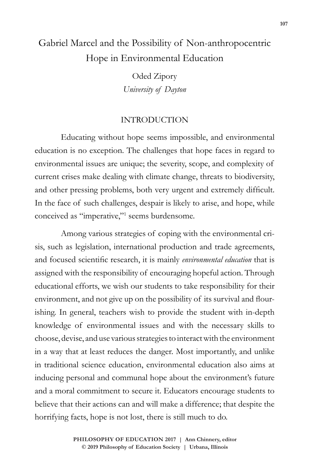# Gabriel Marcel and the Possibility of Non-anthropocentric Hope in Environmental Education

Oded Zipory *University of Dayton*

### INTRODUCTION

Educating without hope seems impossible, and environmental education is no exception. The challenges that hope faces in regard to environmental issues are unique; the severity, scope, and complexity of current crises make dealing with climate change, threats to biodiversity, and other pressing problems, both very urgent and extremely difficult. In the face of such challenges, despair is likely to arise, and hope, while conceived as "imperative,"<sup>1</sup> seems burdensome.

Among various strategies of coping with the environmental crisis, such as legislation, international production and trade agreements, and focused scientific research, it is mainly *environmental education* that is assigned with the responsibility of encouraging hopeful action. Through educational efforts, we wish our students to take responsibility for their environment, and not give up on the possibility of its survival and flourishing. In general, teachers wish to provide the student with in-depth knowledge of environmental issues and with the necessary skills to choose, devise, and use various strategies to interact with the environment in a way that at least reduces the danger. Most importantly, and unlike in traditional science education, environmental education also aims at inducing personal and communal hope about the environment's future and a moral commitment to secure it. Educators encourage students to believe that their actions can and will make a difference; that despite the horrifying facts, hope is not lost, there is still much to do.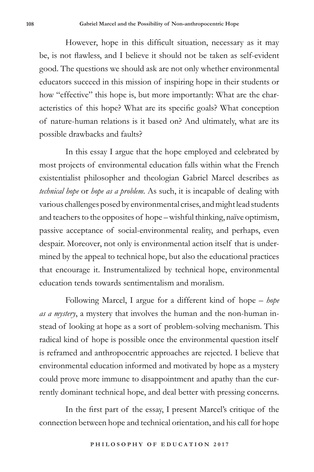However, hope in this difficult situation, necessary as it may be, is not flawless, and I believe it should not be taken as self-evident good. The questions we should ask are not only whether environmental educators succeed in this mission of inspiring hope in their students or how "effective" this hope is, but more importantly: What are the characteristics of this hope? What are its specific goals? What conception of nature-human relations is it based on? And ultimately, what are its possible drawbacks and faults?

In this essay I argue that the hope employed and celebrated by most projects of environmental education falls within what the French existentialist philosopher and theologian Gabriel Marcel describes as *technical hope* or *hope as a problem*. As such, it is incapable of dealing with various challenges posed by environmental crises, and might lead students and teachers to the opposites of hope – wishful thinking, naïve optimism, passive acceptance of social-environmental reality, and perhaps, even despair. Moreover, not only is environmental action itself that is undermined by the appeal to technical hope, but also the educational practices that encourage it. Instrumentalized by technical hope, environmental education tends towards sentimentalism and moralism.

Following Marcel, I argue for a different kind of hope – *hope as a mystery*, a mystery that involves the human and the non-human instead of looking at hope as a sort of problem-solving mechanism. This radical kind of hope is possible once the environmental question itself is reframed and anthropocentric approaches are rejected. I believe that environmental education informed and motivated by hope as a mystery could prove more immune to disappointment and apathy than the currently dominant technical hope, and deal better with pressing concerns.

In the first part of the essay, I present Marcel's critique of the connection between hope and technical orientation, and his call for hope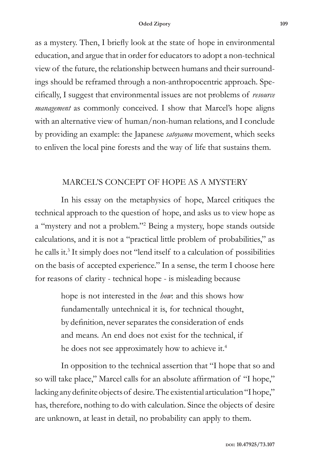as a mystery. Then, I briefly look at the state of hope in environmental education, and argue that in order for educators to adopt a non-technical view of the future, the relationship between humans and their surroundings should be reframed through a non-anthropocentric approach. Specifically, I suggest that environmental issues are not problems of *resource management* as commonly conceived. I show that Marcel's hope aligns with an alternative view of human/non-human relations, and I conclude by providing an example: the Japanese *satoyama* movement, which seeks to enliven the local pine forests and the way of life that sustains them.

### MARCEL'S CONCEPT OF HOPE AS A MYSTERY

In his essay on the metaphysics of hope, Marcel critiques the technical approach to the question of hope, and asks us to view hope as a "mystery and not a problem."2 Being a mystery, hope stands outside calculations, and it is not a "practical little problem of probabilities," as he calls it.3 It simply does not "lend itself to a calculation of possibilities on the basis of accepted experience." In a sense, the term I choose here for reasons of clarity - technical hope - is misleading because

> hope is not interested in the *how*: and this shows how fundamentally untechnical it is, for technical thought, by definition, never separates the consideration of ends and means. An end does not exist for the technical, if he does not see approximately how to achieve it.<sup>4</sup>

In opposition to the technical assertion that "I hope that so and so will take place," Marcel calls for an absolute affirmation of "I hope," lacking any definite objects of desire. The existential articulation "I hope," has, therefore, nothing to do with calculation. Since the objects of desire are unknown, at least in detail, no probability can apply to them.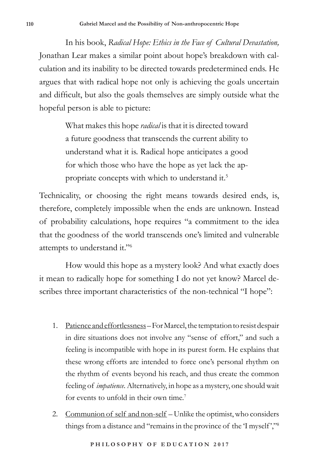In his book, *Radical Hope: Ethics in the Face of Cultural Devastation,*  Jonathan Lear makes a similar point about hope's breakdown with calculation and its inability to be directed towards predetermined ends. He argues that with radical hope not only is achieving the goals uncertain and difficult, but also the goals themselves are simply outside what the hopeful person is able to picture:

> What makes this hope *radical* is that it is directed toward a future goodness that transcends the current ability to understand what it is. Radical hope anticipates a good for which those who have the hope as yet lack the appropriate concepts with which to understand it.<sup>5</sup>

Technicality, or choosing the right means towards desired ends, is, therefore, completely impossible when the ends are unknown. Instead of probability calculations, hope requires "a commitment to the idea that the goodness of the world transcends one's limited and vulnerable attempts to understand it."6

How would this hope as a mystery look? And what exactly does it mean to radically hope for something I do not yet know? Marcel describes three important characteristics of the non-technical "I hope":

- 1. Patience and effortlessness For Marcel, the temptation to resist despair in dire situations does not involve any "sense of effort," and such a feeling is incompatible with hope in its purest form. He explains that these wrong efforts are intended to force one's personal rhythm on the rhythm of events beyond his reach, and thus create the common feeling of *impatience*. Alternatively, in hope as a mystery, one should wait for events to unfold in their own time.<sup>7</sup>
- 2. Communion of self and non-self Unlike the optimist, who considers things from a distance and "remains in the province of the 'I myself ',"8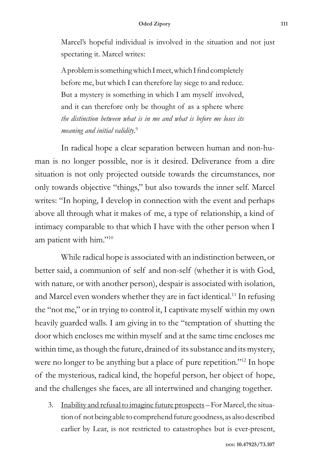Marcel's hopeful individual is involved in the situation and not just spectating it. Marcel writes:

A problem is something which I meet, which I find completely before me, but which I can therefore lay siege to and reduce. But a mystery is something in which I am myself involved, and it can therefore only be thought of as a sphere where *the distinction between what is in me and what is before me loses its meaning and initial validity*. 9

In radical hope a clear separation between human and non-human is no longer possible, nor is it desired. Deliverance from a dire situation is not only projected outside towards the circumstances, nor only towards objective "things," but also towards the inner self. Marcel writes: "In hoping, I develop in connection with the event and perhaps above all through what it makes of me, a type of relationship, a kind of intimacy comparable to that which I have with the other person when I am patient with him."10

While radical hope is associated with an indistinction between, or better said, a communion of self and non-self (whether it is with God, with nature, or with another person), despair is associated with isolation, and Marcel even wonders whether they are in fact identical.<sup>11</sup> In refusing the "not me," or in trying to control it, I captivate myself within my own heavily guarded walls. I am giving in to the "temptation of shutting the door which encloses me within myself and at the same time encloses me within time, as though the future, drained of its substance and its mystery, were no longer to be anything but a place of pure repetition."<sup>12</sup> In hope of the mysterious, radical kind, the hopeful person, her object of hope, and the challenges she faces, are all intertwined and changing together.

3. Inability and refusal to imagine future prospects – For Marcel, the situation of not being able to comprehend future goodness, as also described earlier by Lear, is not restricted to catastrophes but is ever-present,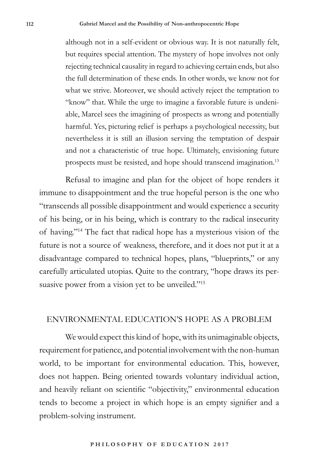although not in a self-evident or obvious way. It is not naturally felt, but requires special attention. The mystery of hope involves not only rejecting technical causality in regard to achieving certain ends, but also the full determination of these ends. In other words, we know not for what we strive. Moreover, we should actively reject the temptation to "know" that. While the urge to imagine a favorable future is undeniable, Marcel sees the imagining of prospects as wrong and potentially harmful. Yes, picturing relief is perhaps a psychological necessity, but nevertheless it is still an illusion serving the temptation of despair and not a characteristic of true hope. Ultimately, envisioning future prospects must be resisted, and hope should transcend imagination.13

Refusal to imagine and plan for the object of hope renders it immune to disappointment and the true hopeful person is the one who "transcends all possible disappointment and would experience a security of his being, or in his being, which is contrary to the radical insecurity of having."14 The fact that radical hope has a mysterious vision of the future is not a source of weakness, therefore, and it does not put it at a disadvantage compared to technical hopes, plans, "blueprints," or any carefully articulated utopias. Quite to the contrary, "hope draws its persuasive power from a vision yet to be unveiled."<sup>15</sup>

### ENVIRONMENTAL EDUCATION'S HOPE AS A PROBLEM

We would expect this kind of hope, with its unimaginable objects, requirement for patience, and potential involvement with the non-human world, to be important for environmental education. This, however, does not happen. Being oriented towards voluntary individual action, and heavily reliant on scientific "objectivity," environmental education tends to become a project in which hope is an empty signifier and a problem-solving instrument.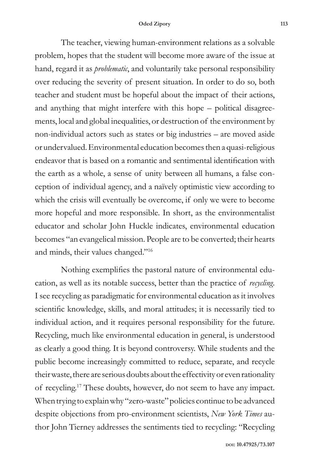The teacher, viewing human-environment relations as a solvable problem, hopes that the student will become more aware of the issue at hand, regard it as *problematic*, and voluntarily take personal responsibility over reducing the severity of present situation. In order to do so, both teacher and student must be hopeful about the impact of their actions, and anything that might interfere with this hope – political disagreements, local and global inequalities, or destruction of the environment by non-individual actors such as states or big industries – are moved aside or undervalued. Environmental education becomes then a quasi-religious endeavor that is based on a romantic and sentimental identification with the earth as a whole, a sense of unity between all humans, a false conception of individual agency, and a naïvely optimistic view according to which the crisis will eventually be overcome, if only we were to become more hopeful and more responsible. In short, as the environmentalist educator and scholar John Huckle indicates, environmental education becomes "an evangelical mission. People are to be converted; their hearts and minds, their values changed."16

Nothing exemplifies the pastoral nature of environmental education, as well as its notable success, better than the practice of *recycling*. I see recycling as paradigmatic for environmental education as it involves scientific knowledge, skills, and moral attitudes; it is necessarily tied to individual action, and it requires personal responsibility for the future. Recycling, much like environmental education in general, is understood as clearly a good thing. It is beyond controversy. While students and the public become increasingly committed to reduce, separate, and recycle their waste, there are serious doubts about the effectivity or even rationality of recycling.17 These doubts, however, do not seem to have any impact. When trying to explain why "zero-waste" policies continue to be advanced despite objections from pro-environment scientists, *New York Times* author John Tierney addresses the sentiments tied to recycling: "Recycling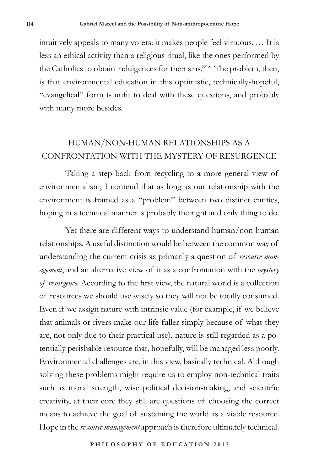intuitively appeals to many voters: it makes people feel virtuous. … It is less an ethical activity than a religious ritual, like the ones performed by the Catholics to obtain indulgences for their sins."18 The problem, then, is that environmental education in this optimistic, technically-hopeful, "evangelical" form is unfit to deal with these questions, and probably with many more besides.

## HUMAN/NON-HUMAN RELATIONSHIPS AS A CONFRONTATION WITH THE MYSTERY OF RESURGENCE

Taking a step back from recycling to a more general view of environmentalism, I contend that as long as our relationship with the environment is framed as a "problem" between two distinct entities, hoping in a technical manner is probably the right and only thing to do.

Yet there are different ways to understand human/non-human relationships. A useful distinction would be between the common way of understanding the current crisis as primarily a question of *resource management*, and an alternative view of it as a confrontation with the *mystery of resurgence.* According to the first view, the natural world is a collection of resources we should use wisely so they will not be totally consumed. Even if we assign nature with intrinsic value (for example, if we believe that animals or rivers make our life fuller simply because of what they are, not only due to their practical use), nature is still regarded as a potentially perishable resource that, hopefully, will be managed less poorly. Environmental challenges are, in this view, basically technical. Although solving these problems might require us to employ non-technical traits such as moral strength, wise political decision-making, and scientific creativity, at their core they still are questions of choosing the correct means to achieve the goal of sustaining the world as a viable resource. Hope in the *resource management* approach is therefore ultimately technical.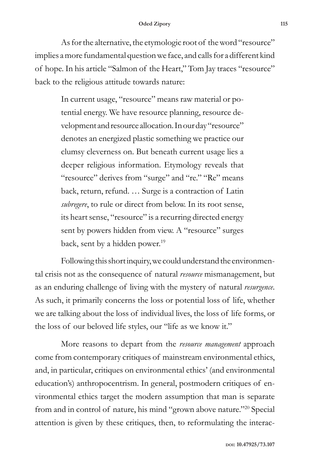As for the alternative, the etymologic root of the word "resource" implies a more fundamental question we face, and calls for a different kind of hope. In his article "Salmon of the Heart," Tom Jay traces "resource" back to the religious attitude towards nature:

> In current usage, "resource" means raw material or potential energy. We have resource planning, resource development and resource allocation. In our day "resource" denotes an energized plastic something we practice our clumsy cleverness on. But beneath current usage lies a deeper religious information. Etymology reveals that "resource" derives from "surge" and "re." "Re" means back, return, refund. … Surge is a contraction of Latin *subregere*, to rule or direct from below. In its root sense, its heart sense, "resource" is a recurring directed energy sent by powers hidden from view. A "resource" surges back, sent by a hidden power.<sup>19</sup>

Following this short inquiry, we could understand the environmental crisis not as the consequence of natural *resource* mismanagement, but as an enduring challenge of living with the mystery of natural *resurgence*. As such, it primarily concerns the loss or potential loss of life, whether we are talking about the loss of individual lives, the loss of life forms, or the loss of our beloved life styles, our "life as we know it."

More reasons to depart from the *resource management* approach come from contemporary critiques of mainstream environmental ethics, and, in particular, critiques on environmental ethics' (and environmental education's) anthropocentrism. In general, postmodern critiques of environmental ethics target the modern assumption that man is separate from and in control of nature, his mind "grown above nature."20 Special attention is given by these critiques, then, to reformulating the interac-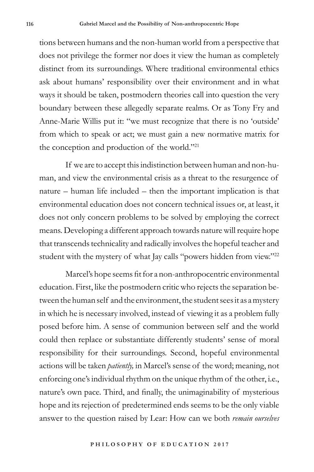tions between humans and the non-human world from a perspective that does not privilege the former nor does it view the human as completely distinct from its surroundings. Where traditional environmental ethics ask about humans' responsibility over their environment and in what ways it should be taken, postmodern theories call into question the very boundary between these allegedly separate realms. Or as Tony Fry and Anne-Marie Willis put it: "we must recognize that there is no 'outside' from which to speak or act; we must gain a new normative matrix for the conception and production of the world."21

If we are to accept this indistinction between human and non-human, and view the environmental crisis as a threat to the resurgence of nature – human life included – then the important implication is that environmental education does not concern technical issues or, at least, it does not only concern problems to be solved by employing the correct means. Developing a different approach towards nature will require hope that transcends technicality and radically involves the hopeful teacher and student with the mystery of what Jay calls "powers hidden from view."<sup>22</sup>

Marcel's hope seems fit for a non-anthropocentric environmental education. First, like the postmodern critic who rejects the separation between the human self and the environment, the student sees it as a mystery in which he is necessary involved, instead of viewing it as a problem fully posed before him. A sense of communion between self and the world could then replace or substantiate differently students' sense of moral responsibility for their surroundings. Second, hopeful environmental actions will be taken *patiently,* in Marcel's sense of the word; meaning, not enforcing one's individual rhythm on the unique rhythm of the other, i.e., nature's own pace. Third, and finally, the unimaginability of mysterious hope and its rejection of predetermined ends seems to be the only viable answer to the question raised by Lear: How can we both *remain ourselves*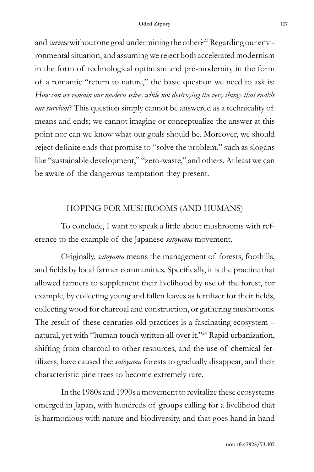#### **Oded Zipory 117**

and *survive* without one goal undermining the other?<sup>23</sup> Regarding our environmental situation, and assuming we reject both accelerated modernism in the form of technological optimism and pre-modernity in the form of a romantic "return to nature," the basic question we need to ask is: *How can we remain our modern selves while not destroying the very things that enable our survival?* This question simply cannot be answered as a technicality of means and ends; we cannot imagine or conceptualize the answer at this point nor can we know what our goals should be. Moreover, we should reject definite ends that promise to "solve the problem," such as slogans like "sustainable development," "zero-waste," and others. At least we can be aware of the dangerous temptation they present.

## HOPING FOR MUSHROOMS (AND HUMANS)

To conclude, I want to speak a little about mushrooms with reference to the example of the Japanese *satoyama* movement.

Originally, *satoyama* means the management of forests, foothills, and fields by local farmer communities. Specifically, it is the practice that allowed farmers to supplement their livelihood by use of the forest, for example, by collecting young and fallen leaves as fertilizer for their fields, collecting wood for charcoal and construction, or gathering mushrooms. The result of these centuries-old practices is a fascinating ecosystem – natural, yet with "human touch written all over it."24 Rapid urbanization, shifting from charcoal to other resources, and the use of chemical fertilizers, have caused the *satoyama* forests to gradually disappear, and their characteristic pine trees to become extremely rare.

In the 1980s and 1990s a movement to revitalize these ecosystems emerged in Japan, with hundreds of groups calling for a livelihood that is harmonious with nature and biodiversity, and that goes hand in hand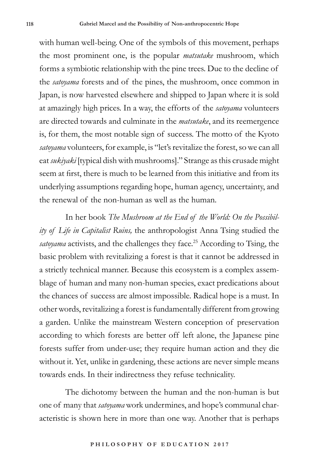with human well-being. One of the symbols of this movement, perhaps the most prominent one, is the popular *matsutake* mushroom, which forms a symbiotic relationship with the pine trees. Due to the decline of the *satoyama* forests and of the pines, the mushroom, once common in Japan, is now harvested elsewhere and shipped to Japan where it is sold at amazingly high prices. In a way, the efforts of the *satoyama* volunteers are directed towards and culminate in the *matsutake*, and its reemergence is, for them, the most notable sign of success. The motto of the Kyoto *satoyama* volunteers, for example, is "let's revitalize the forest, so we can all eat *sukiyaki* [typical dish with mushrooms]." Strange as this crusade might seem at first, there is much to be learned from this initiative and from its underlying assumptions regarding hope, human agency, uncertainty, and the renewal of the non-human as well as the human.

In her book *The Mushroom at the End of the World: On the Possibility of Life in Capitalist Ruins,* the anthropologist Anna Tsing studied the *satoyama* activists, and the challenges they face.<sup>25</sup> According to Tsing, the basic problem with revitalizing a forest is that it cannot be addressed in a strictly technical manner. Because this ecosystem is a complex assemblage of human and many non-human species, exact predications about the chances of success are almost impossible. Radical hope is a must. In other words, revitalizing a forest is fundamentally different from growing a garden. Unlike the mainstream Western conception of preservation according to which forests are better off left alone, the Japanese pine forests suffer from under-use; they require human action and they die without it. Yet, unlike in gardening, these actions are never simple means towards ends. In their indirectness they refuse technicality.

The dichotomy between the human and the non-human is but one of many that *satoyama* work undermines, and hope's communal characteristic is shown here in more than one way. Another that is perhaps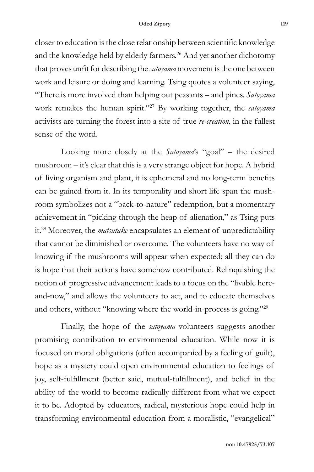closer to education is the close relationship between scientific knowledge and the knowledge held by elderly farmers.<sup>26</sup> And yet another dichotomy that proves unfit for describing the *satoyama* movement is the one between work and leisure or doing and learning. Tsing quotes a volunteer saying, "There is more involved than helping out peasants – and pines. *Satoyama* work remakes the human spirit."27 By working together, the *satoyama* activists are turning the forest into a site of true *re-creation*, in the fullest sense of the word.

Looking more closely at the *Satoyama*'s "goal" – the desired mushroom – it's clear that this is a very strange object for hope. A hybrid of living organism and plant, it is ephemeral and no long-term benefits can be gained from it. In its temporality and short life span the mushroom symbolizes not a "back-to-nature" redemption, but a momentary achievement in "picking through the heap of alienation," as Tsing puts it.28 Moreover, the *matsutake* encapsulates an element of unpredictability that cannot be diminished or overcome. The volunteers have no way of knowing if the mushrooms will appear when expected; all they can do is hope that their actions have somehow contributed. Relinquishing the notion of progressive advancement leads to a focus on the "livable hereand-now," and allows the volunteers to act, and to educate themselves and others, without "knowing where the world-in-process is going."29

Finally, the hope of the *satoyama* volunteers suggests another promising contribution to environmental education. While now it is focused on moral obligations (often accompanied by a feeling of guilt), hope as a mystery could open environmental education to feelings of joy, self-fulfillment (better said, mutual-fulfillment), and belief in the ability of the world to become radically different from what we expect it to be. Adopted by educators, radical, mysterious hope could help in transforming environmental education from a moralistic, "evangelical"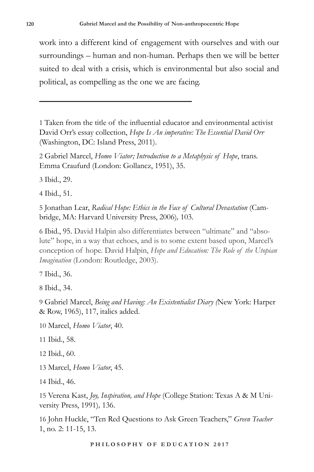work into a different kind of engagement with ourselves and with our surroundings – human and non-human. Perhaps then we will be better suited to deal with a crisis, which is environmental but also social and political, as compelling as the one we are facing.

1 Taken from the title of the influential educator and environmental activist David Orr's essay collection, *Hope Is An imperative: The Essential David Orr* (Washington, DC: Island Press, 2011).

2 Gabriel Marcel, *Homo Viator; Introduction to a Metaphysic of Hope*, trans. Emma Craufurd (London: Gollancz, 1951), 35.

3 Ibid., 29.

4 Ibid., 51.

5 Jonathan Lear, *Radical Hope: Ethics in the Face of Cultural Devastation* (Cambridge, MA: Harvard University Press, 2006)*,* 103.

6 Ibid., 95. David Halpin also differentiates between "ultimate" and "absolute" hope, in a way that echoes, and is to some extent based upon, Marcel's conception of hope. David Halpin, *Hope and Education: The Role of the Utopian Imagination* (London: Routledge, 2003).

7 Ibid., 36.

8 Ibid., 34.

9 Gabriel Marcel, *Being and Having: An Existentialist Diary (*New York: Harper & Row, 1965), 117, italics added.

10 Marcel, *Homo Viator*, 40.

11 Ibid., 58.

12 Ibid., 60.

13 Marcel, *Homo Viator*, 45.

14 Ibid., 46.

15 Verena Kast, *Joy, Inspiration, and Hope* (College Station: Texas A & M University Press, 1991)*,* 136.

16 John Huckle, "Ten Red Questions to Ask Green Teachers," *Green Teacher*  1, no. 2: 11-15, 13.